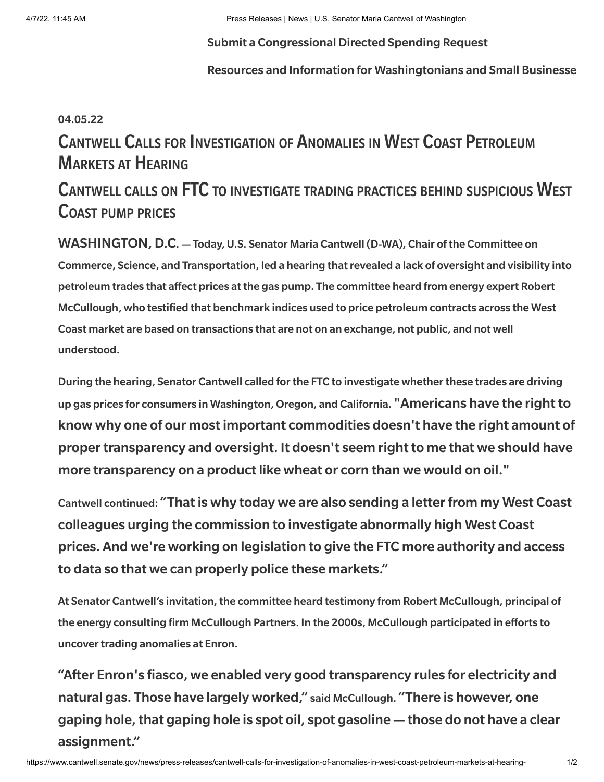#### Submit a [Congressional](https://www.cantwell.senate.gov/news/press-releases/submit-a-congressional-directed-spending-request) Directed Spending Request

Resources and Information for [Washingtonians](https://www.cantwell.senate.gov/news/press-releases/resources-and-information-for-washingtonians-and-small-businesses-navigating-the-covid-19-crisis) and Small Businesse

#### 04.05.22

# Cantwell Calls for Investigation of Anomalies in West Coast Petroleum Markets at Hearing

## Cantwell calls on FTC to investigate trading practices behind suspicious West Coast pump prices

WASHINGTON, D.C. — Today, U.S. Senator Maria Cantwell (D-WA), Chair of the Committee on Commerce, Science, and Transportation, led a hearing that revealed a lack of oversight and visibility into petroleum trades that affect prices at the gas pump. [The committee heard](https://www.commerce.senate.gov/2022/4/ensuring-transparency-in-petroleum-markets) from energy expert Robert McCullough, who testified that benchmark indices used to price petroleum contracts across the West Coast market are based on transactions that are not on an exchange, not public, and not well understood.

During the hearing, Senator Cantwell called for the FTC to investigate whether these trades are driving up gas prices for consumers in Washington, Oregon, and California. "Americans have the right to know why one of our most important commodities doesn't have the right amount of propertransparency and oversight. It doesn't seem right to me that we should have more transparency on a product like wheat or corn than we would on oil."

Cantwell continued: "That is why today we are also sending a [letter](https://www.commerce.senate.gov/services/files/1B3349A0-4B62-4DF5-A4A6-4655C3880F87) from my West Coast colleagues urging the commission to investigate abnormally high West Coast prices. And we're working on legislation to give the FTC more authority and access to data so that we can properly police these markets."

At Senator Cantwell's invitation, the committee heard testimony from Robert McCullough, principal of the energy consulting firm McCullough Partners. In the 2000s, McCullough participated in efforts to uncover trading anomalies at Enron.

"After Enron's fiasco, we enabled very good transparency rules for electricity and natural gas. Those have largely worked," said McCullough. "There is however, one gaping hole, that gaping hole is spot oil, spot gasoline — those do not have a clear assignment."